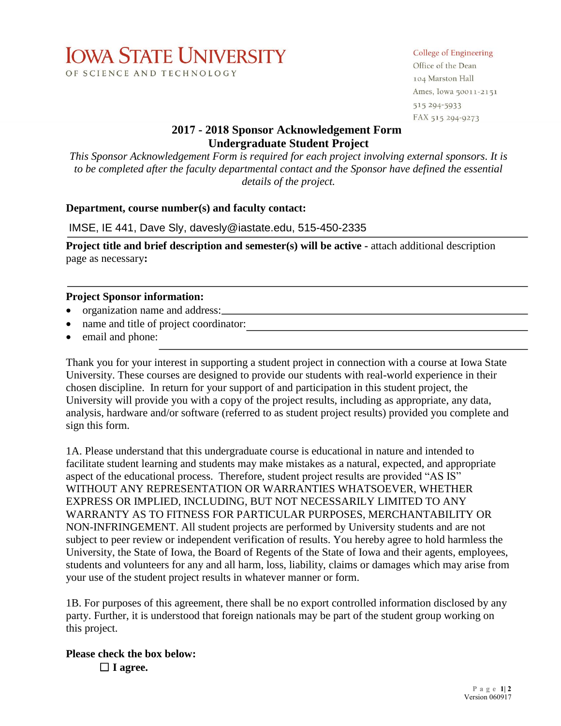# **IOWA STATE UNIVERSITY** OF SCIENCE AND TECHNOLOGY

#### College of Engineering

Office of the Dean 104 Marston Hall Ames, Iowa 50011-2151 515 294-5933 FAX 515 294-9273

## **2017 - 2018 Sponsor Acknowledgement Form Undergraduate Student Project**

*This Sponsor Acknowledgement Form is required for each project involving external sponsors. It is to be completed after the faculty departmental contact and the Sponsor have defined the essential details of the project.* 

#### **Department, course number(s) and faculty contact:**

IMSE, IE 441, Dave Sly, davesly@iastate.edu, 515-450-2335

**Project title and brief description and semester(s) will be active - attach additional description** page as necessary**:** 

#### **Project Sponsor information:**

- organization name and address:
- name and title of project coordinator:
- email and phone:

Thank you for your interest in supporting a student project in connection with a course at Iowa State University. These courses are designed to provide our students with real-world experience in their chosen discipline. In return for your support of and participation in this student project, the University will provide you with a copy of the project results, including as appropriate, any data, analysis, hardware and/or software (referred to as student project results) provided you complete and sign this form.

1A. Please understand that this undergraduate course is educational in nature and intended to facilitate student learning and students may make mistakes as a natural, expected, and appropriate aspect of the educational process. Therefore, student project results are provided "AS IS" WITHOUT ANY REPRESENTATION OR WARRANTIES WHATSOEVER, WHETHER EXPRESS OR IMPLIED, INCLUDING, BUT NOT NECESSARILY LIMITED TO ANY WARRANTY AS TO FITNESS FOR PARTICULAR PURPOSES, MERCHANTABILITY OR NON-INFRINGEMENT. All student projects are performed by University students and are not subject to peer review or independent verification of results. You hereby agree to hold harmless the University, the State of Iowa, the Board of Regents of the State of Iowa and their agents, employees, students and volunteers for any and all harm, loss, liability, claims or damages which may arise from your use of the student project results in whatever manner or form.

1B. For purposes of this agreement, there shall be no export controlled information disclosed by any party. Further, it is understood that foreign nationals may be part of the student group working on this project.

**Please check the box below:** ☐ **I agree.**